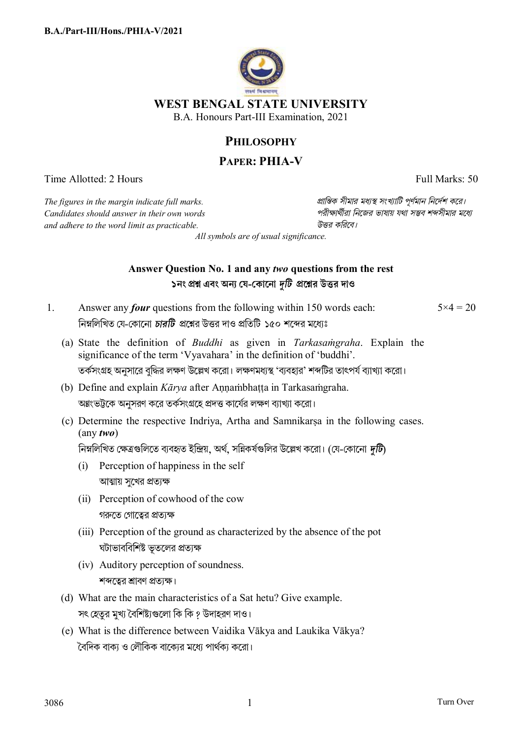

## **PHILOSOPHY**

# **PAPER: PHIA-V**

Time Allotted: 2 Hours Full Marks: 50

*The figures in the margin indicate full marks. pািnক সীমার মধ°s সংখ°ািট পূণর্মান িনেদর্শ কের। Candidates should answer in their own words পরীkাথর্ীরা িনেজর ভাষায় যথা সmব শbসীমার মেধ° and adhere to the word limit as practicable. উtর কিরেব।*

*All symbols are of usual significance.*

### **Answer Question No. 1 and any** *two* **questions from the rest ১নং pű এবং অন° য-কােনা** *dিট* **pেűর উtর দাও**

- 1. Answer any *four* questions from the following within 150 words each: নিম্নলিখিত যে-কোনো *চারটি প্র*শ্নের উত্তর দাও প্রতিটি ১৫০ শব্দের মধ্যেঃ  $5 \times 4 = 20$ 
	- (a) State the definition of *Buddhi* as given in *Tarkasaṁgraha*. Explain the significance of the term 'Vyavahara' in the definition of 'buddhi'. তর্কসংগ্রহ অনুসারে বদ্ধির লক্ষণ উল্লেখ করাে। লক্ষণমধ্যস্থ 'বাবহার' শব্দটির তাৎপর্য বাাখাা করাে।
	- (b) Define and explain *Kārya* after Annambhatta in Tarkasamgraha. অগ্নংভট্টকে অনুসরণ করে তর্কসংগ্রহে প্রদত্ত কার্যের লক্ষণ ব্যাখ্যা করো।
	- (c) Determine the respective Indriya, Artha and Samnikarṣa in the following cases. (any *two*)

নিম্নলিখিত ক্ষেত্রগুলিতে ব্যবহৃত ইন্দ্রিয়, অর্থ, সন্নিকর্ষগুলির উল্লেখ করো। (যে-কোনো *দটি*)

- (i) Perception of happiness in the self আত্মায় সুখের প্রত্যক্ষ
- (ii) Perception of cowhood of the cow গরুতে গোতের প্রতাক্ষ
- (iii) Perception of the ground as characterized by the absence of the pot ঘটাভাববিশিষ্ট ভূতলের প্রত্যক্ষ
- (iv) Auditory perception of soundness. শব্দত্বের শ্রাবণ প্রত্যক্ষ।
- (d) What are the main characteristics of a Sat hetu? Give example. সৎ হেতুর মুখ্য বৈশিষ্ট্যগুলো কি কি ? উদাহরণ দাও।
- (e) What is the difference between Vaidika Vākya and Laukika Vākya? `বৈদিক বাক্য ও লৌকিক বাক্যের মধ্যে পার্থক্য করো।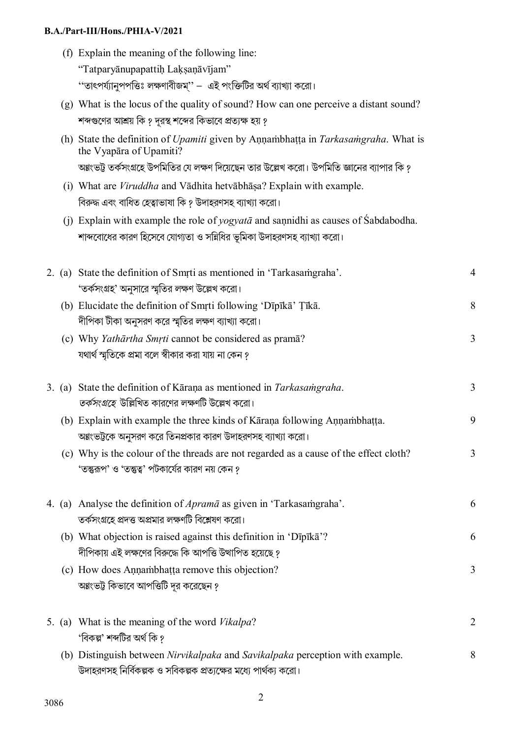#### **B.A./Part-III/Hons./PHIA-V/2021**

- (f) Explain the meaning of the following line: "Tatparyānupapattiḥ Laḳṣaṇāvījam" ''তাৎপৰ্য্যানুপপত্তিঃ লক্ষণাবীজম'' – এই পংক্তিটির অর্থ ব্যাখ্যা করো।
- (g) What is the locus of the quality of sound? How can one perceive a distant sound? শব্দগুণের আশ্রয় কি ? দূরস্থ শব্দের কিভাবে প্রত্যক্ষ হয় ?
- (h) State the definition of *Upamiti* given by Aṇṇaṁbhaṭṭa in *Tarkasaṁgraha*. What is the Vyapāra of Upamiti? অগ্নংভট্ট তর্কসংগ্রহে উপমিতির যে লক্ষণ দিয়েছেন তার উল্লেখ করো। উপমিতি জ্ঞানের ব্যাপার কি ?
- (i) What are *Viruddha* and Vādhita hetvābhāṣa? Explain with example. বিরুদ্ধ এবং বাধিত হেত্বাভাষা কি ? উদাহরণসহ ব্যাখ্যা করো।
- (j) Explain with example the role of *yogyatā* and saṇnidhi as causes of Śabdabodha. শাব্দবোধের কারণ হিসেবে যোগ্যতা ও সন্নিধির ভূমিকা উদাহরণসহ ব্যাখ্যা করো।

|  | 2. (a) State the definition of Smrti as mentioned in 'Tarkasamgraha'.<br>'তর্কসংগ্রহ' অনুসারে স্মৃতির লক্ষণ উল্লেখ করো।                          | $\overline{4}$ |
|--|--------------------------------------------------------------------------------------------------------------------------------------------------|----------------|
|  | (b) Elucidate the definition of Smrti following 'Dīpīkā' Țīkā.<br>দীপিকা টীকা অনুসরণ করে স্মৃতির লক্ষণ ব্যাখ্যা করো।                             | 8              |
|  | (c) Why Yathārtha Smrti cannot be considered as pramā?<br>যথার্থ স্মৃতিকে প্রমা বলে স্বীকার করা যায় না কেন ?                                    | $\overline{3}$ |
|  | 3. (a) State the definition of Kāraṇa as mentioned in Tarkasamgraha.<br><i>তর্কসংগ্রহে উ</i> ল্লিখিত কারণের লক্ষণটি উল্লেখ করো।                  | $\overline{3}$ |
|  | (b) Explain with example the three kinds of Kāraṇa following Aṇṇaṁbhaṭṭa.<br>অগ্নংভট্টকে অনুসরণ করে তিনপ্রকার কারণ উদাহরণসহ ব্যাখ্যা করো।        | 9              |
|  | (c) Why is the colour of the threads are not regarded as a cause of the effect cloth?<br>'তন্তুরূপ' ও 'তন্তুত্ব' পটকার্যের কারণ নয় কেন ?        | $\overline{3}$ |
|  | 4. (a) Analyse the definition of <i>Aprama</i> as given in 'Tarkasamgraha'.<br>তর্কসংগ্রহে প্রদত্ত অপ্রমার লক্ষণটি বিশ্লেষণ করো।                 | 6              |
|  | (b) What objection is raised against this definition in 'Dīpīkā'?<br>দীপিকায় এই লক্ষণের বিরুদ্ধে কি আপত্তি উত্থাপিত হয়েছে ?                    | 6              |
|  | (c) How does Annambhatta remove this objection?<br>অগ্নংভট্ট কিভাবে আপত্তিটি দূর করেছেন ?                                                        | $\overline{3}$ |
|  | 5. (a) What is the meaning of the word Vikalpa?<br>'বিকল্প' শব্দটির অর্থ কি ?                                                                    | $\overline{2}$ |
|  | (b) Distinguish between Nirvikalpaka and Savikalpaka perception with example.<br>উদাহরণসহ নির্বিকল্পক ও সবিকল্পক প্রত্যক্ষের মধ্যে পার্থক্য করো। | 8              |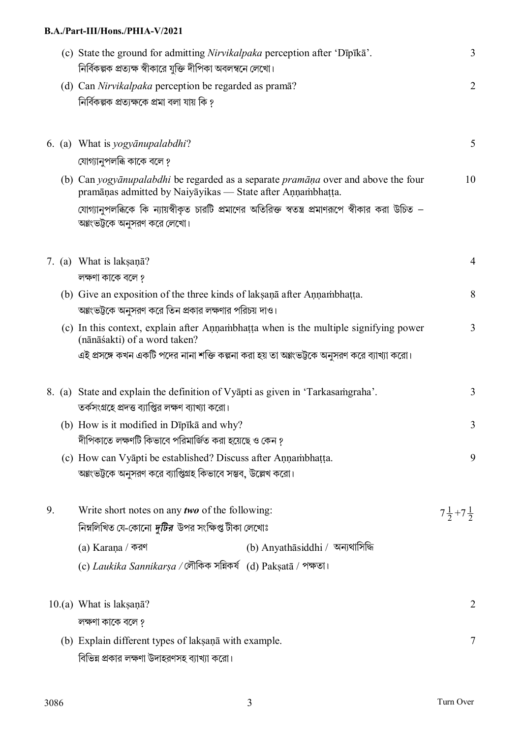### **B.A./Part-III/Hons./PHIA-V/2021**

|    | (c) State the ground for admitting Nirvikalpaka perception after 'Dīpīkā'.<br>নির্বিকল্পক প্রত্যক্ষ স্বীকারে যুক্তি দীপিকা অবলম্বনে লেখো।       | 3                           |
|----|-------------------------------------------------------------------------------------------------------------------------------------------------|-----------------------------|
|    | (d) Can Nirvikalpaka perception be regarded as pramā?<br>নিৰ্বিকল্পক প্ৰত্যক্ষকে প্ৰমা বলা যায় কি ?                                            | $\overline{2}$              |
|    | 6. (a) What is yogyanupalabdhi?                                                                                                                 | 5                           |
|    | যোগ্যানুপলব্ধি কাকে বলে ?                                                                                                                       |                             |
|    | (b) Can yogyānupalabdhi be regarded as a separate pramāņa over and above the four<br>pramāņas admitted by Naiyāyikas — State after Aņņambhatta. | 10                          |
|    | যোগ্যানুপলব্ধিকে কি ন্যায়স্বীকৃত চারটি প্রমাণের অতিরিক্ত স্বতন্ত্র প্রমাণরূপে স্বীকার করা উচিত –<br>অগ্নংভট্টকে অনুসরণ করে লেখো।               |                             |
|    | 7. (a) What is laksana?                                                                                                                         | $\overline{4}$              |
|    | লক্ষণা কাকে বলে ?                                                                                                                               | 8                           |
|    | (b) Give an exposition of the three kinds of laksana after Annambhatta.<br>অগ্নংভট্টকে অনুসরণ করে তিন প্রকার লক্ষণার পরিচয় দাও।                |                             |
|    | (c) In this context, explain after Annambhatta when is the multiple signifying power<br>(nānāśakti) of a word taken?                            | 3                           |
|    | এই প্রসঙ্গে কখন একটি পদের নানা শক্তি কল্পনা করা হয় তা অগ্নংভট্টকে অনুসরণ করে ব্যাখ্যা করো।                                                     |                             |
|    | 8. (a) State and explain the definition of Vyapti as given in 'Tarkasamgraha'.<br>তর্কসংগ্রহে প্রদত্ত ব্যাপ্তির লক্ষণ ব্যাখ্যা করো।             | 3                           |
|    | (b) How is it modified in Dīpīkā and why?                                                                                                       | 3                           |
|    | দীপিকাতে লক্ষণটি কিভাবে পরিমার্জিত করা হয়েছে ও কেন ?                                                                                           |                             |
|    | (c) How can Vyapti be established? Discuss after Annambhatta.<br>অগ্নংভট্টকে অনুসরণ করে ব্যাপ্তিগ্রহ কিভাবে সম্ভব, উল্লেখ করো।                  | 9                           |
| 9. | Write short notes on any <b>two</b> of the following:                                                                                           | $7\frac{1}{2}+7\frac{1}{2}$ |
|    | নিম্নলিখিত যে-কোনো <i>দুটির ঊ</i> পর সংক্ষিপ্ত টীকা লেখোঃ                                                                                       |                             |
|    | (b) Anyathāsiddhi / অন্যথাসিদ্ধি<br>(a) Karana / করণ                                                                                            |                             |
|    | (c) Laukika Sannikarşa / লৌকিক সন্নিকর্ষ (d) Pakṣatā / পক্ষতা।                                                                                  |                             |
|    | $10.(a)$ What is laksan $\bar{a}$ ?                                                                                                             | $\overline{2}$              |
|    | লক্ষণা কাকে বলে ?                                                                                                                               |                             |
|    | (b) Explain different types of laksana with example.                                                                                            | 7                           |
|    | বিভিন্ন প্রকার লক্ষণা উদাহরণসহ ব্যাখ্যা করো।                                                                                                    |                             |